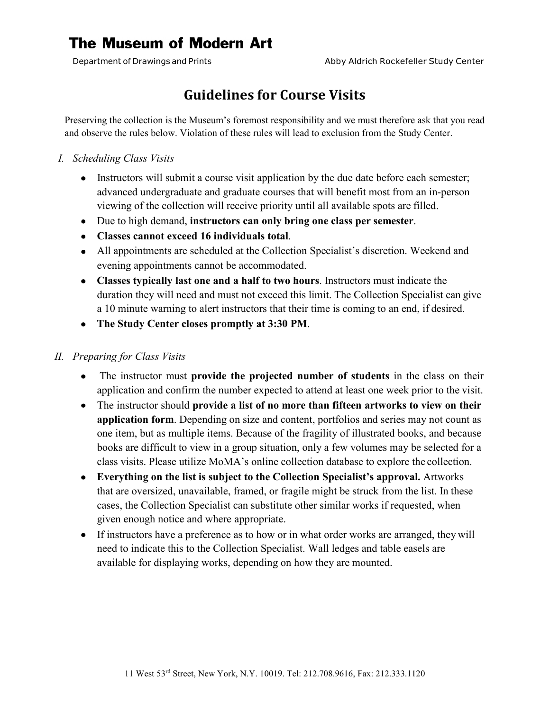# **The Museum of Modern Art**

### **Guidelines for Course Visits**

Preserving the collection is the Museum's foremost responsibility and we must therefore ask that you read and observe the rules below. Violation of these rules will lead to exclusion from the Study Center.

### *I. Scheduling Class Visits*

- Instructors will submit a course visit application by the due date before each semester; advanced undergraduate and graduate courses that will benefit most from an in-person viewing of the collection will receive priority until all available spots are filled.
- Due to high demand, **instructors can only bring one class per semester**.
- **Classes cannot exceed 16 individuals total**.
- All appointments are scheduled at the Collection Specialist's discretion. Weekend and evening appointments cannot be accommodated.
- **Classes typically last one and a half to two hours**. Instructors must indicate the duration they will need and must not exceed this limit. The Collection Specialist can give a 10 minute warning to alert instructors that their time is coming to an end, if desired.
- **The Study Center closes promptly at 3:30 PM**.

#### *II. Preparing for Class Visits*

- $\bullet$  The instructor must **provide the projected number of students** in the class on their application and confirm the number expected to attend at least one week prior to the visit.
- The instructor should **provide a list of no more than fifteen artworks to view on their application form**. Depending on size and content, portfolios and series may not count as one item, but as multiple items. Because of the fragility of illustrated books, and because books are difficult to view in a group situation, only a few volumes may be selected for a class visits. Please utilize MoMA's online collection database to explore the collection.
- **Everything on the list is subject to the Collection Specialist's approval.** Artworks that are oversized, unavailable, framed, or fragile might be struck from the list. In these cases, the Collection Specialist can substitute other similar works if requested, when given enough notice and where appropriate.
- If instructors have a preference as to how or in what order works are arranged, they will need to indicate this to the Collection Specialist. Wall ledges and table easels are available for displaying works, depending on how they are mounted.